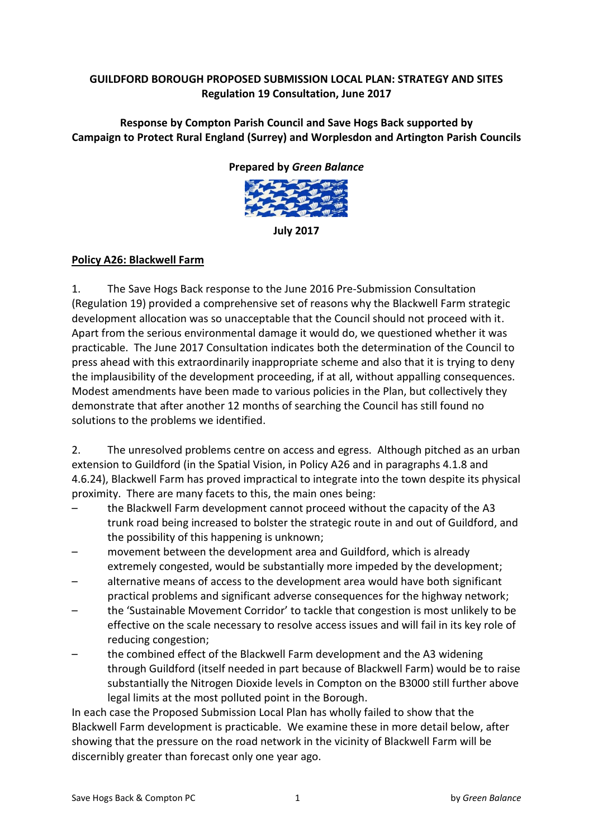### **GUILDFORD)BOROUGH)PROPOSED)SUBMISSION)LOCAL)PLAN:)STRATEGY)AND)SITES Regulation)19)Consultation,)June 2017**

**Response)by)Compton)Parish)Council)and)Save)Hogs)Back supported)by** Campaign to Protect Rural England (Surrey) and Worplesdon and Artington Parish Councils

#### **Prepared by Green Balance**



**July)2017**

### Policy A26: Blackwell Farm

1. The Save Hogs Back response to the June 2016 Pre-Submission Consultation (Regulation 19) provided a comprehensive set of reasons why the Blackwell Farm strategic development allocation was so unacceptable that the Council should not proceed with it. Apart from the serious environmental damage it would do, we questioned whether it was practicable. The June 2017 Consultation indicates both the determination of the Council to press ahead with this extraordinarily inappropriate scheme and also that it is trying to deny the implausibility of the development proceeding, if at all, without appalling consequences. Modest amendments have been made to various policies in the Plan, but collectively they demonstrate that after another 12 months of searching the Council has still found no solutions to the problems we identified.

2. The unresolved problems centre on access and egress. Although pitched as an urban extension to Guildford (in the Spatial Vision, in Policy A26 and in paragraphs 4.1.8 and 4.6.24), Blackwell Farm has proved impractical to integrate into the town despite its physical proximity. There are many facets to this, the main ones being:

- the Blackwell Farm development cannot proceed without the capacity of the A3 trunk road being increased to bolster the strategic route in and out of Guildford, and the possibility of this happening is unknown;
- movement between the development area and Guildford, which is already extremely congested, would be substantially more impeded by the development;
- alternative means of access to the development area would have both significant practical problems and significant adverse consequences for the highway network;
- the 'Sustainable Movement Corridor' to tackle that congestion is most unlikely to be effective on the scale necessary to resolve access issues and will fail in its key role of reducing congestion;
- the combined effect of the Blackwell Farm development and the A3 widening through Guildford (itself needed in part because of Blackwell Farm) would be to raise substantially the Nitrogen Dioxide levels in Compton on the B3000 still further above legal limits at the most polluted point in the Borough.

In each case the Proposed Submission Local Plan has wholly failed to show that the Blackwell Farm development is practicable. We examine these in more detail below, after showing that the pressure on the road network in the vicinity of Blackwell Farm will be discernibly greater than forecast only one year ago.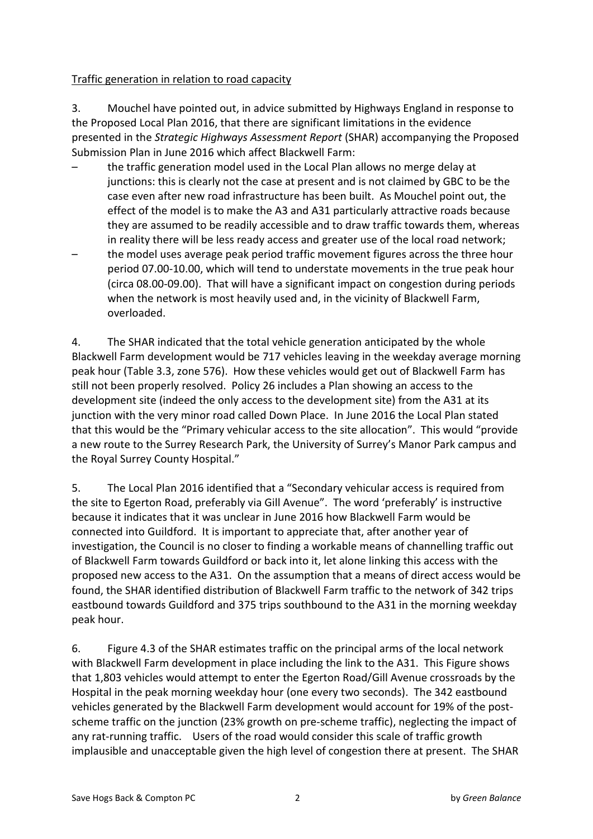### Traffic generation in relation to road capacity

3. Mouchel have pointed out, in advice submitted by Highways England in response to the Proposed Local Plan 2016, that there are significant limitations in the evidence presented in the *Strategic Highways Assessment Report* (SHAR) accompanying the Proposed Submission Plan in June 2016 which affect Blackwell Farm:

- the traffic generation model used in the Local Plan allows no merge delay at junctions: this is clearly not the case at present and is not claimed by GBC to be the case even after new road infrastructure has been built. As Mouchel point out, the effect of the model is to make the A3 and A31 particularly attractive roads because they are assumed to be readily accessible and to draw traffic towards them, whereas in reality there will be less ready access and greater use of the local road network;
- the model uses average peak period traffic movement figures across the three hour period 07.00-10.00, which will tend to understate movements in the true peak hour (circa 08.00-09.00). That will have a significant impact on congestion during periods when the network is most heavily used and, in the vicinity of Blackwell Farm, overloaded.

4. The SHAR indicated that the total vehicle generation anticipated by the whole Blackwell Farm development would be 717 vehicles leaving in the weekday average morning peak hour (Table 3.3, zone 576). How these vehicles would get out of Blackwell Farm has still not been properly resolved. Policy 26 includes a Plan showing an access to the development site (indeed the only access to the development site) from the A31 at its junction with the very minor road called Down Place. In June 2016 the Local Plan stated that this would be the "Primary vehicular access to the site allocation". This would "provide a new route to the Surrey Research Park, the University of Surrey's Manor Park campus and the Royal Surrey County Hospital."

5. The Local Plan 2016 identified that a "Secondary vehicular access is required from the site to Egerton Road, preferably via Gill Avenue". The word 'preferably' is instructive because it indicates that it was unclear in June 2016 how Blackwell Farm would be connected into Guildford. It is important to appreciate that, after another year of investigation, the Council is no closer to finding a workable means of channelling traffic out of Blackwell Farm towards Guildford or back into it, let alone linking this access with the proposed new access to the A31. On the assumption that a means of direct access would be found, the SHAR identified distribution of Blackwell Farm traffic to the network of 342 trips eastbound towards Guildford and 375 trips southbound to the A31 in the morning weekday peak hour.

6. Figure 4.3 of the SHAR estimates traffic on the principal arms of the local network with Blackwell Farm development in place including the link to the A31. This Figure shows that 1,803 vehicles would attempt to enter the Egerton Road/Gill Avenue crossroads by the Hospital in the peak morning weekday hour (one every two seconds). The 342 eastbound vehicles generated by the Blackwell Farm development would account for 19% of the postscheme traffic on the junction (23% growth on pre-scheme traffic), neglecting the impact of any rat-running traffic. Users of the road would consider this scale of traffic growth implausible and unacceptable given the high level of congestion there at present. The SHAR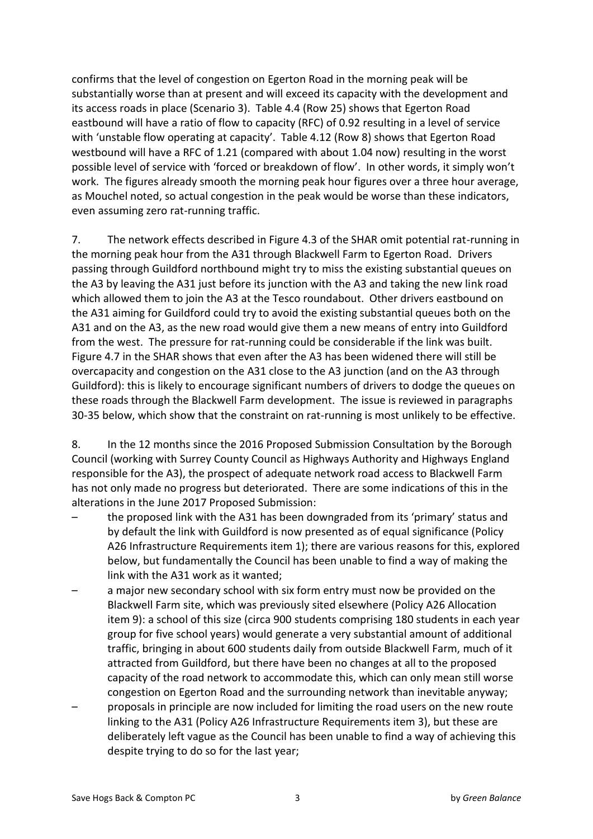confirms that the level of congestion on Egerton Road in the morning peak will be substantially worse than at present and will exceed its capacity with the development and its access roads in place (Scenario 3). Table 4.4 (Row 25) shows that Egerton Road eastbound will have a ratio of flow to capacity (RFC) of 0.92 resulting in a level of service with 'unstable flow operating at capacity'. Table 4.12 (Row 8) shows that Egerton Road westbound will have a RFC of 1.21 (compared with about 1.04 now) resulting in the worst possible level of service with 'forced or breakdown of flow'. In other words, it simply won't work. The figures already smooth the morning peak hour figures over a three hour average, as Mouchel noted, so actual congestion in the peak would be worse than these indicators, even assuming zero rat-running traffic.

7. The network effects described in Figure 4.3 of the SHAR omit potential rat-running in the morning peak hour from the A31 through Blackwell Farm to Egerton Road. Drivers passing through Guildford northbound might try to miss the existing substantial queues on the A3 by leaving the A31 just before its junction with the A3 and taking the new link road which allowed them to join the A3 at the Tesco roundabout. Other drivers eastbound on the A31 aiming for Guildford could try to avoid the existing substantial queues both on the A31 and on the A3, as the new road would give them a new means of entry into Guildford from the west. The pressure for rat-running could be considerable if the link was built. Figure 4.7 in the SHAR shows that even after the A3 has been widened there will still be overcapacity and congestion on the A31 close to the A3 junction (and on the A3 through Guildford): this is likely to encourage significant numbers of drivers to dodge the queues on these roads through the Blackwell Farm development. The issue is reviewed in paragraphs 30-35 below, which show that the constraint on rat-running is most unlikely to be effective.

8. In the 12 months since the 2016 Proposed Submission Consultation by the Borough Council (working with Surrey County Council as Highways Authority and Highways England responsible for the A3), the prospect of adequate network road access to Blackwell Farm has not only made no progress but deteriorated. There are some indications of this in the alterations in the June 2017 Proposed Submission:

- the proposed link with the A31 has been downgraded from its 'primary' status and by default the link with Guildford is now presented as of equal significance (Policy A26 Infrastructure Requirements item 1); there are various reasons for this, explored below, but fundamentally the Council has been unable to find a way of making the link with the A31 work as it wanted;
- a major new secondary school with six form entry must now be provided on the Blackwell Farm site, which was previously sited elsewhere (Policy A26 Allocation item 9): a school of this size (circa 900 students comprising 180 students in each year group for five school years) would generate a very substantial amount of additional traffic, bringing in about 600 students daily from outside Blackwell Farm, much of it attracted from Guildford, but there have been no changes at all to the proposed capacity of the road network to accommodate this, which can only mean still worse congestion on Egerton Road and the surrounding network than inevitable anyway;
- proposals in principle are now included for limiting the road users on the new route linking to the A31 (Policy A26 Infrastructure Requirements item 3), but these are deliberately left vague as the Council has been unable to find a way of achieving this despite trying to do so for the last year;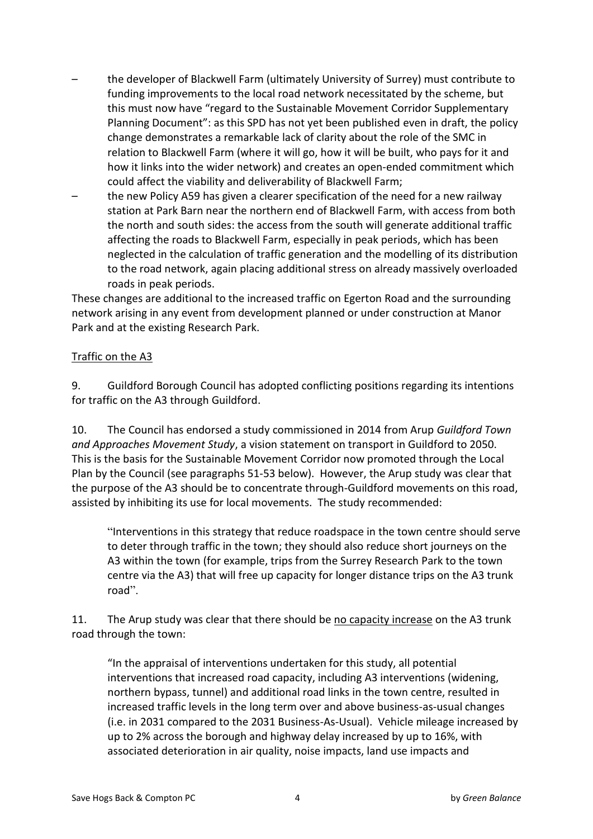- the developer of Blackwell Farm (ultimately University of Surrey) must contribute to funding improvements to the local road network necessitated by the scheme, but this must now have "regard to the Sustainable Movement Corridor Supplementary Planning Document": as this SPD has not yet been published even in draft, the policy change demonstrates a remarkable lack of clarity about the role of the SMC in relation to Blackwell Farm (where it will go, how it will be built, who pays for it and how it links into the wider network) and creates an open-ended commitment which could affect the viability and deliverability of Blackwell Farm;
- the new Policy A59 has given a clearer specification of the need for a new railway station at Park Barn near the northern end of Blackwell Farm, with access from both the north and south sides: the access from the south will generate additional traffic affecting the roads to Blackwell Farm, especially in peak periods, which has been neglected in the calculation of traffic generation and the modelling of its distribution to the road network, again placing additional stress on already massively overloaded roads in peak periods.

These changes are additional to the increased traffic on Egerton Road and the surrounding network arising in any event from development planned or under construction at Manor Park and at the existing Research Park.

### Traffic on the A3

9. Guildford Borough Council has adopted conflicting positions regarding its intentions for traffic on the A3 through Guildford.

10. The Council has endorsed a study commissioned in 2014 from Arup *Guildford Town* and Approaches Movement Study, a vision statement on transport in Guildford to 2050. This is the basis for the Sustainable Movement Corridor now promoted through the Local Plan by the Council (see paragraphs 51-53 below). However, the Arup study was clear that the purpose of the A3 should be to concentrate through-Guildford movements on this road, assisted by inhibiting its use for local movements. The study recommended:

"Interventions in this strategy that reduce roadspace in the town centre should serve to deter through traffic in the town; they should also reduce short journeys on the A3 within the town (for example, trips from the Surrey Research Park to the town centre via the A3) that will free up capacity for longer distance trips on the A3 trunk road".

11. The Arup study was clear that there should be no capacity increase on the A3 trunk road through the town:

"In the appraisal of interventions undertaken for this study, all potential interventions that increased road capacity, including A3 interventions (widening, northern bypass, tunnel) and additional road links in the town centre, resulted in increased traffic levels in the long term over and above business-as-usual changes (i.e. in 2031 compared to the 2031 Business-As-Usual). Vehicle mileage increased by up to 2% across the borough and highway delay increased by up to 16%, with associated deterioration in air quality, noise impacts, land use impacts and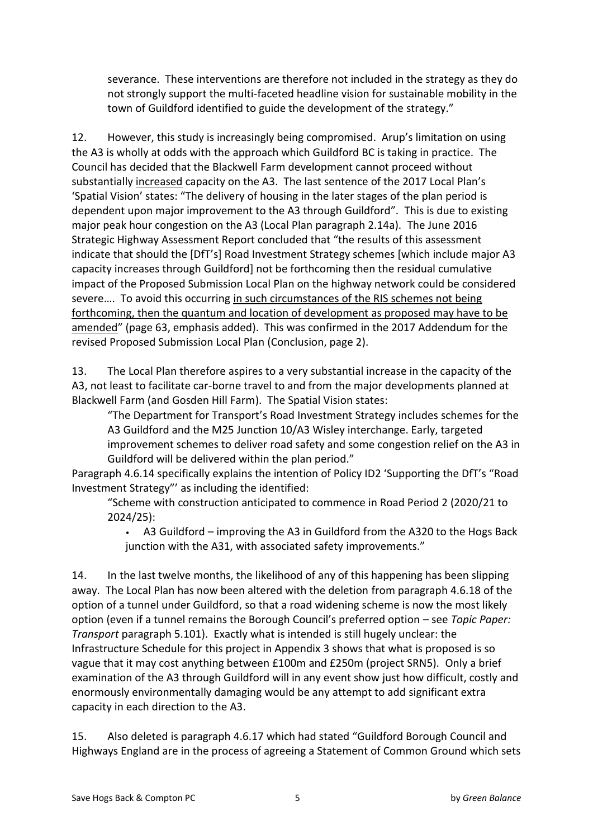severance. These interventions are therefore not included in the strategy as they do not strongly support the multi-faceted headline vision for sustainable mobility in the town of Guildford identified to guide the development of the strategy."

12. However, this study is increasingly being compromised. Arup's limitation on using the A3 is wholly at odds with the approach which Guildford BC is taking in practice. The Council has decided that the Blackwell Farm development cannot proceed without substantially increased capacity on the A3. The last sentence of the 2017 Local Plan's 'Spatial Vision' states: "The delivery of housing in the later stages of the plan period is dependent upon major improvement to the A3 through Guildford". This is due to existing major peak hour congestion on the A3 (Local Plan paragraph 2.14a). The June 2016 Strategic Highway Assessment Report concluded that "the results of this assessment indicate that should the [DfT's] Road Investment Strategy schemes [which include major A3 capacity increases through Guildford] not be forthcoming then the residual cumulative impact of the Proposed Submission Local Plan on the highway network could be considered severe.... To avoid this occurring in such circumstances of the RIS schemes not being forthcoming, then the quantum and location of development as proposed may have to be amended" (page 63, emphasis added). This was confirmed in the 2017 Addendum for the revised Proposed Submission Local Plan (Conclusion, page 2).

13. The Local Plan therefore aspires to a very substantial increase in the capacity of the A3, not least to facilitate car-borne travel to and from the major developments planned at Blackwell Farm (and Gosden Hill Farm). The Spatial Vision states:

"The Department for Transport's Road Investment Strategy includes schemes for the A3 Guildford and the M25 Junction 10/A3 Wisley interchange. Early, targeted improvement schemes to deliver road safety and some congestion relief on the A3 in Guildford will be delivered within the plan period."

Paragraph 4.6.14 specifically explains the intention of Policy ID2 'Supporting the DfT's "Road Investment Strategy" as including the identified:

"Scheme with construction anticipated to commence in Road Period 2 (2020/21 to 2024/25):

A3 Guildford – improving the A3 in Guildford from the A320 to the Hogs Back junction with the A31, with associated safety improvements."

14. In the last twelve months, the likelihood of any of this happening has been slipping away. The Local Plan has now been altered with the deletion from paragraph 4.6.18 of the option of a tunnel under Guildford, so that a road widening scheme is now the most likely option (even if a tunnel remains the Borough Council's preferred option - see *Topic Paper: Transport* paragraph 5.101). Exactly what is intended is still hugely unclear: the Infrastructure Schedule for this project in Appendix 3 shows that what is proposed is so vague that it may cost anything between £100m and £250m (project SRN5). Only a brief examination of the A3 through Guildford will in any event show just how difficult, costly and enormously environmentally damaging would be any attempt to add significant extra capacity in each direction to the A3.

15. Also deleted is paragraph 4.6.17 which had stated "Guildford Borough Council and Highways England are in the process of agreeing a Statement of Common Ground which sets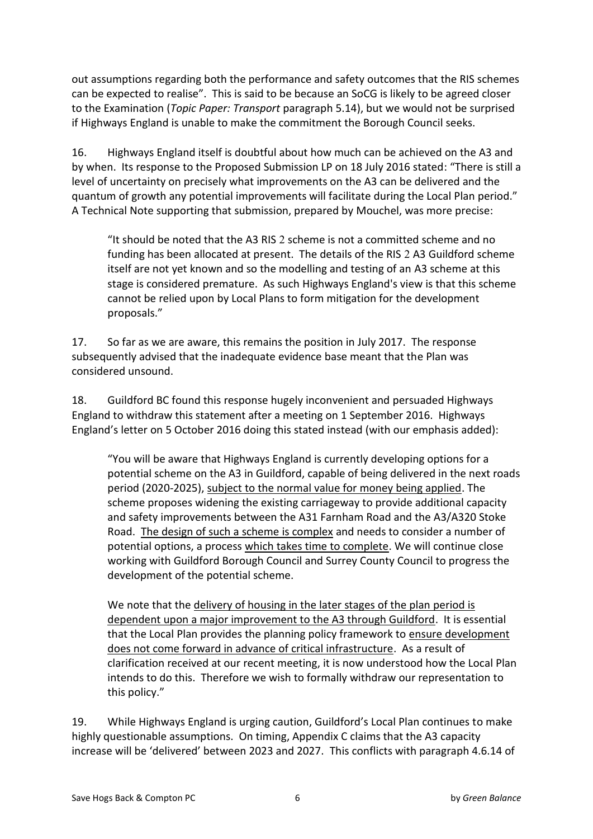out assumptions regarding both the performance and safety outcomes that the RIS schemes can be expected to realise". This is said to be because an SoCG is likely to be agreed closer to the Examination (*Topic Paper: Transport* paragraph 5.14), but we would not be surprised if Highways England is unable to make the commitment the Borough Council seeks.

16. Highways England itself is doubtful about how much can be achieved on the A3 and by when. Its response to the Proposed Submission LP on 18 July 2016 stated: "There is still a level of uncertainty on precisely what improvements on the A3 can be delivered and the guantum of growth any potential improvements will facilitate during the Local Plan period." A Technical Note supporting that submission, prepared by Mouchel, was more precise:

"It should be noted that the A3 RIS 2 scheme is not a committed scheme and no funding has been allocated at present. The details of the RIS 2 A3 Guildford scheme itself are not yet known and so the modelling and testing of an A3 scheme at this stage is considered premature. As such Highways England's view is that this scheme cannot be relied upon by Local Plans to form mitigation for the development proposals."

17. So far as we are aware, this remains the position in July 2017. The response subsequently advised that the inadequate evidence base meant that the Plan was considered unsound.

18. Guildford BC found this response hugely inconvenient and persuaded Highways England to withdraw this statement after a meeting on 1 September 2016. Highways England's letter on 5 October 2016 doing this stated instead (with our emphasis added):

"You will be aware that Highways England is currently developing options for a potential scheme on the A3 in Guildford, capable of being delivered in the next roads period (2020-2025), subject to the normal value for money being applied. The scheme proposes widening the existing carriageway to provide additional capacity and safety improvements between the A31 Farnham Road and the A3/A320 Stoke Road. The design of such a scheme is complex and needs to consider a number of potential options, a process which takes time to complete. We will continue close working with Guildford Borough Council and Surrey County Council to progress the development of the potential scheme.

We note that the delivery of housing in the later stages of the plan period is dependent upon a major improvement to the A3 through Guildford. It is essential that the Local Plan provides the planning policy framework to ensure development does not come forward in advance of critical infrastructure. As a result of clarification received at our recent meeting, it is now understood how the Local Plan intends to do this. Therefore we wish to formally withdraw our representation to this policy."

19. While Highways England is urging caution, Guildford's Local Plan continues to make highly questionable assumptions. On timing, Appendix C claims that the A3 capacity increase will be 'delivered' between 2023 and 2027. This conflicts with paragraph 4.6.14 of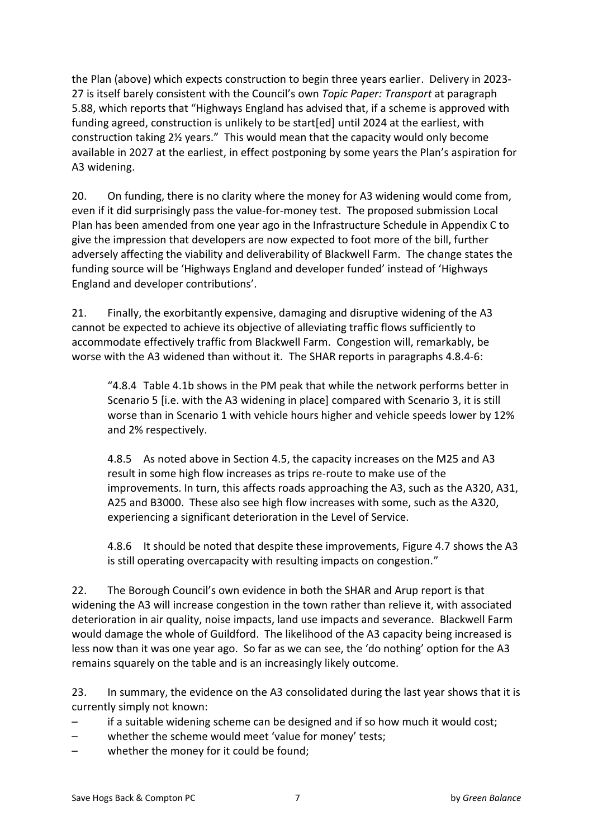the Plan (above) which expects construction to begin three years earlier. Delivery in 2023-27 is itself barely consistent with the Council's own Topic Paper: Transport at paragraph 5.88, which reports that "Highways England has advised that, if a scheme is approved with funding agreed, construction is unlikely to be start[ed] until 2024 at the earliest, with construction taking 2<sup>1/2</sup> years." This would mean that the capacity would only become available in 2027 at the earliest, in effect postponing by some years the Plan's aspiration for A3 widening.

20. On funding, there is no clarity where the money for A3 widening would come from, even if it did surprisingly pass the value-for-money test. The proposed submission Local Plan has been amended from one year ago in the Infrastructure Schedule in Appendix C to give the impression that developers are now expected to foot more of the bill, further adversely affecting the viability and deliverability of Blackwell Farm. The change states the funding source will be 'Highways England and developer funded' instead of 'Highways England and developer contributions'.

21. Finally, the exorbitantly expensive, damaging and disruptive widening of the  $A3$ cannot be expected to achieve its objective of alleviating traffic flows sufficiently to accommodate effectively traffic from Blackwell Farm. Congestion will, remarkably, be worse with the A3 widened than without it. The SHAR reports in paragraphs 4.8.4-6:

"4.8.4 Table 4.1b shows in the PM peak that while the network performs better in Scenario 5 [i.e. with the A3 widening in place] compared with Scenario 3, it is still worse than in Scenario 1 with vehicle hours higher and vehicle speeds lower by 12% and 2% respectively.

4.8.5 As noted above in Section 4.5, the capacity increases on the M25 and A3 result in some high flow increases as trips re-route to make use of the improvements. In turn, this affects roads approaching the A3, such as the A320, A31, A25 and B3000. These also see high flow increases with some, such as the A320, experiencing a significant deterioration in the Level of Service.

4.8.6 It should be noted that despite these improvements, Figure 4.7 shows the A3 is still operating overcapacity with resulting impacts on congestion.<sup>"</sup>

22. The Borough Council's own evidence in both the SHAR and Arup report is that widening the A3 will increase congestion in the town rather than relieve it, with associated deterioration in air quality, noise impacts, land use impacts and severance. Blackwell Farm would damage the whole of Guildford. The likelihood of the A3 capacity being increased is less now than it was one year ago. So far as we can see, the 'do nothing' option for the A3 remains squarely on the table and is an increasingly likely outcome.

23. In summary, the evidence on the A3 consolidated during the last year shows that it is currently simply not known:

- if a suitable widening scheme can be designed and if so how much it would cost;
- whether the scheme would meet 'value for money' tests;
- whether the money for it could be found;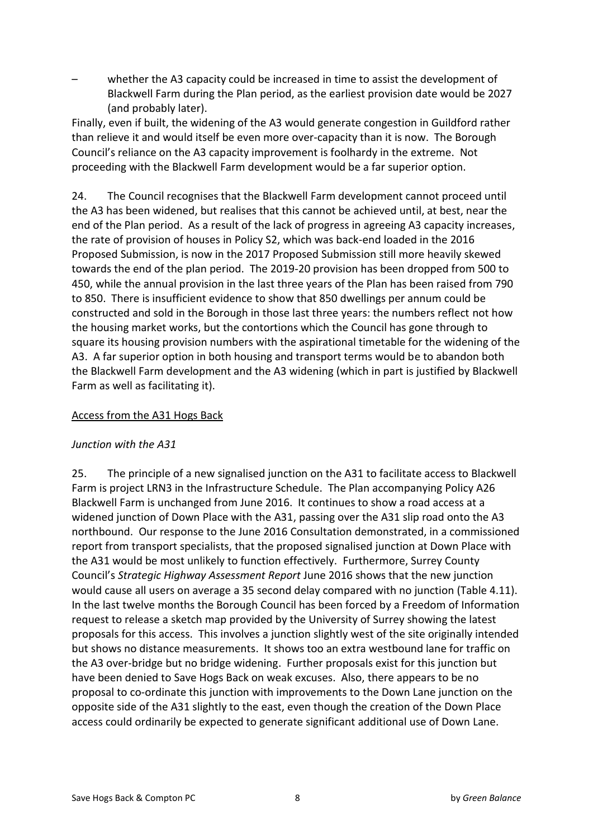whether the A3 capacity could be increased in time to assist the development of Blackwell Farm during the Plan period, as the earliest provision date would be 2027 (and probably later).

Finally, even if built, the widening of the A3 would generate congestion in Guildford rather than relieve it and would itself be even more over-capacity than it is now. The Borough Council's reliance on the A3 capacity improvement is foolhardy in the extreme. Not proceeding with the Blackwell Farm development would be a far superior option.

24. The Council recognises that the Blackwell Farm development cannot proceed until the A3 has been widened, but realises that this cannot be achieved until, at best, near the end of the Plan period. As a result of the lack of progress in agreeing A3 capacity increases, the rate of provision of houses in Policy S2, which was back-end loaded in the 2016 Proposed Submission, is now in the 2017 Proposed Submission still more heavily skewed towards the end of the plan period. The 2019-20 provision has been dropped from 500 to 450, while the annual provision in the last three years of the Plan has been raised from 790 to 850. There is insufficient evidence to show that 850 dwellings per annum could be constructed and sold in the Borough in those last three years: the numbers reflect not how the housing market works, but the contortions which the Council has gone through to square its housing provision numbers with the aspirational timetable for the widening of the A3. A far superior option in both housing and transport terms would be to abandon both the Blackwell Farm development and the A3 widening (which in part is justified by Blackwell Farm as well as facilitating it).

#### Access from the A31 Hogs Back

#### *Junction with the A31*

25. The principle of a new signalised junction on the A31 to facilitate access to Blackwell Farm is project LRN3 in the Infrastructure Schedule. The Plan accompanying Policy A26 Blackwell Farm is unchanged from June 2016. It continues to show a road access at a widened junction of Down Place with the A31, passing over the A31 slip road onto the A3 northbound. Our response to the June 2016 Consultation demonstrated, in a commissioned report from transport specialists, that the proposed signalised junction at Down Place with the A31 would be most unlikely to function effectively. Furthermore, Surrey County Council's Strategic Highway Assessment Report June 2016 shows that the new junction would cause all users on average a 35 second delay compared with no junction (Table 4.11). In the last twelve months the Borough Council has been forced by a Freedom of Information request to release a sketch map provided by the University of Surrey showing the latest proposals for this access. This involves a junction slightly west of the site originally intended but shows no distance measurements. It shows too an extra westbound lane for traffic on the A3 over-bridge but no bridge widening. Further proposals exist for this junction but have been denied to Save Hogs Back on weak excuses. Also, there appears to be no proposal to co-ordinate this junction with improvements to the Down Lane junction on the opposite side of the A31 slightly to the east, even though the creation of the Down Place access could ordinarily be expected to generate significant additional use of Down Lane.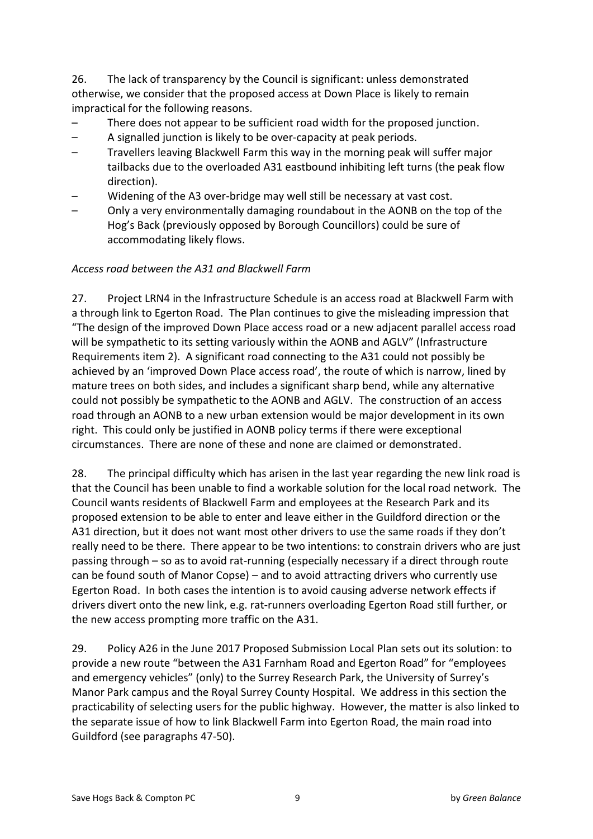26. The lack of transparency by the Council is significant: unless demonstrated otherwise, we consider that the proposed access at Down Place is likely to remain impractical for the following reasons.

- There does not appear to be sufficient road width for the proposed junction.
- $-$  A signalled junction is likely to be over-capacity at peak periods.
- Travellers leaving Blackwell Farm this way in the morning peak will suffer major tailbacks due to the overloaded A31 eastbound inhibiting left turns (the peak flow direction).
- Widening of the A3 over-bridge may well still be necessary at vast cost.
- Only a very environmentally damaging roundabout in the AONB on the top of the Hog's Back (previously opposed by Borough Councillors) could be sure of accommodating likely flows.

### *Access%road%between%the%A31%and%Blackwell%Farm*

27. Project LRN4 in the Infrastructure Schedule is an access road at Blackwell Farm with a through link to Egerton Road. The Plan continues to give the misleading impression that "The design of the improved Down Place access road or a new adjacent parallel access road will be sympathetic to its setting variously within the AONB and AGLV" (Infrastructure Requirements item 2). A significant road connecting to the A31 could not possibly be achieved by an 'improved Down Place access road', the route of which is narrow, lined by mature trees on both sides, and includes a significant sharp bend, while any alternative could not possibly be sympathetic to the AONB and AGLV. The construction of an access road through an AONB to a new urban extension would be major development in its own right. This could only be justified in AONB policy terms if there were exceptional circumstances. There are none of these and none are claimed or demonstrated.

28. The principal difficulty which has arisen in the last year regarding the new link road is that the Council has been unable to find a workable solution for the local road network. The Council wants residents of Blackwell Farm and employees at the Research Park and its proposed extension to be able to enter and leave either in the Guildford direction or the A31 direction, but it does not want most other drivers to use the same roads if they don't really need to be there. There appear to be two intentions: to constrain drivers who are just passing through – so as to avoid rat-running (especially necessary if a direct through route can be found south of Manor Copse) – and to avoid attracting drivers who currently use Egerton Road. In both cases the intention is to avoid causing adverse network effects if drivers divert onto the new link, e.g. rat-runners overloading Egerton Road still further, or the new access prompting more traffic on the A31.

29. Policy A26 in the June 2017 Proposed Submission Local Plan sets out its solution: to provide a new route "between the A31 Farnham Road and Egerton Road" for "employees and emergency vehicles" (only) to the Surrey Research Park, the University of Surrey's Manor Park campus and the Royal Surrey County Hospital. We address in this section the practicability of selecting users for the public highway. However, the matter is also linked to the separate issue of how to link Blackwell Farm into Egerton Road, the main road into Guildford (see paragraphs 47-50).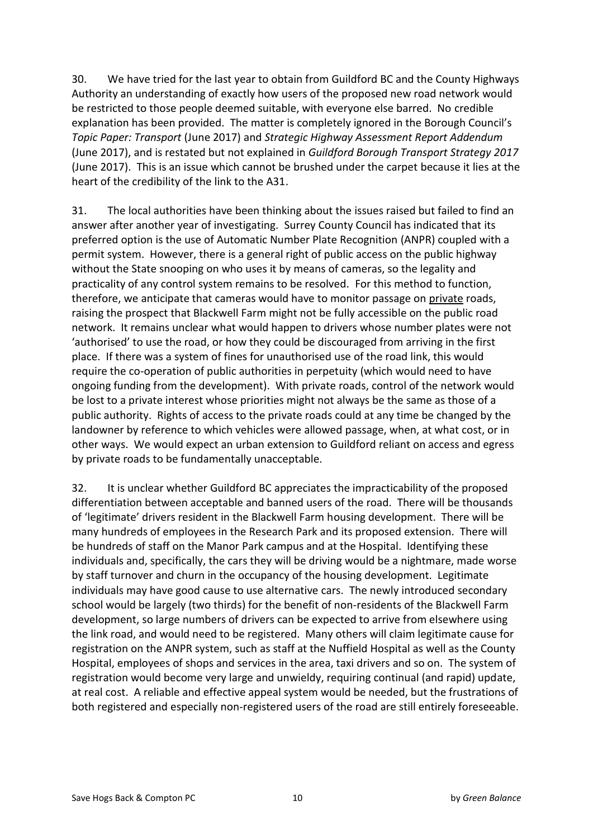30. We have tried for the last year to obtain from Guildford BC and the County Highways Authority an understanding of exactly how users of the proposed new road network would be restricted to those people deemed suitable, with everyone else barred. No credible explanation has been provided. The matter is completely ignored in the Borough Council's *Topic%Paper:%Transport* (June%2017) and%*Strategic%Highway%Assessment%Report%Addendum* (June 2017), and is restated but not explained in *Guildford Borough Transport Strategy 2017* (June 2017). This is an issue which cannot be brushed under the carpet because it lies at the heart of the credibility of the link to the A31.

31. The local authorities have been thinking about the issues raised but failed to find an answer after another year of investigating. Surrey County Council has indicated that its preferred option is the use of Automatic Number Plate Recognition (ANPR) coupled with a permit system. However, there is a general right of public access on the public highway without the State snooping on who uses it by means of cameras, so the legality and practicality of any control system remains to be resolved. For this method to function, therefore, we anticipate that cameras would have to monitor passage on private roads, raising the prospect that Blackwell Farm might not be fully accessible on the public road network. It remains unclear what would happen to drivers whose number plates were not 'authorised' to use the road, or how they could be discouraged from arriving in the first place. If there was a system of fines for unauthorised use of the road link, this would require the co-operation of public authorities in perpetuity (which would need to have ongoing funding from the development). With private roads, control of the network would be lost to a private interest whose priorities might not always be the same as those of a public authority. Rights of access to the private roads could at any time be changed by the landowner by reference to which vehicles were allowed passage, when, at what cost, or in other ways. We would expect an urban extension to Guildford reliant on access and egress by private roads to be fundamentally unacceptable.

32. It is unclear whether Guildford BC appreciates the impracticability of the proposed differentiation between acceptable and banned users of the road. There will be thousands of 'legitimate' drivers resident in the Blackwell Farm housing development. There will be many hundreds of employees in the Research Park and its proposed extension. There will be hundreds of staff on the Manor Park campus and at the Hospital. Identifying these individuals and, specifically, the cars they will be driving would be a nightmare, made worse by staff turnover and churn in the occupancy of the housing development. Legitimate individuals may have good cause to use alternative cars. The newly introduced secondary school would be largely (two thirds) for the benefit of non-residents of the Blackwell Farm development, so large numbers of drivers can be expected to arrive from elsewhere using the link road, and would need to be registered. Many others will claim legitimate cause for registration on the ANPR system, such as staff at the Nuffield Hospital as well as the County Hospital, employees of shops and services in the area, taxi drivers and so on. The system of registration would become very large and unwieldy, requiring continual (and rapid) update, at real cost. A reliable and effective appeal system would be needed, but the frustrations of both registered and especially non-registered users of the road are still entirely foreseeable.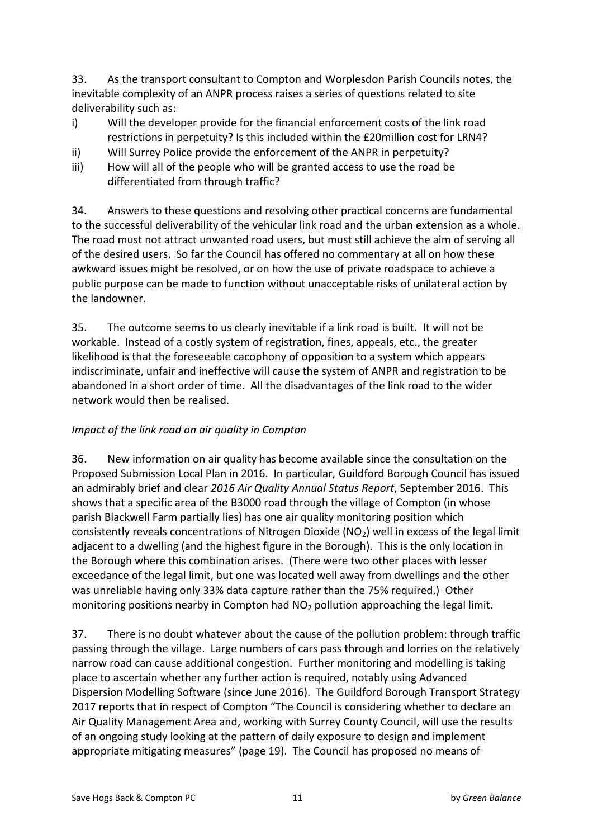33. As the transport consultant to Compton and Worplesdon Parish Councils notes, the inevitable complexity of an ANPR process raises a series of questions related to site deliverability such as:

- i) Will the developer provide for the financial enforcement costs of the link road restrictions in perpetuity? Is this included within the £20million cost for LRN4?
- ii) Will Surrey Police provide the enforcement of the ANPR in perpetuity?
- iii) How will all of the people who will be granted access to use the road be differentiated from through traffic?

34. Answers to these questions and resolving other practical concerns are fundamental to the successful deliverability of the vehicular link road and the urban extension as a whole. The road must not attract unwanted road users, but must still achieve the aim of serving all of the desired users. So far the Council has offered no commentary at all on how these awkward issues might be resolved, or on how the use of private roadspace to achieve a public purpose can be made to function without unacceptable risks of unilateral action by the landowner.

35. The outcome seems to us clearly inevitable if a link road is built. It will not be workable. Instead of a costly system of registration, fines, appeals, etc., the greater likelihood is that the foreseeable cacophony of opposition to a system which appears indiscriminate, unfair and ineffective will cause the system of ANPR and registration to be abandoned in a short order of time. All the disadvantages of the link road to the wider network would then be realised.

# *Impact of the link road on air quality in Compton*

36. New information on air quality has become available since the consultation on the Proposed Submission Local Plan in 2016. In particular, Guildford Borough Council has issued an admirably brief and clear 2016 Air Quality Annual Status Report, September 2016. This shows that a specific area of the B3000 road through the village of Compton (in whose parish Blackwell Farm partially lies) has one air quality monitoring position which consistently reveals concentrations of Nitrogen Dioxide (NO<sub>2</sub>) well in excess of the legal limit adjacent to a dwelling (and the highest figure in the Borough). This is the only location in the Borough where this combination arises. (There were two other places with lesser exceedance of the legal limit, but one was located well away from dwellings and the other was unreliable having only 33% data capture rather than the 75% required.) Other monitoring positions nearby in Compton had  $NO<sub>2</sub>$  pollution approaching the legal limit.

37. There is no doubt whatever about the cause of the pollution problem: through traffic passing through the village. Large numbers of cars pass through and lorries on the relatively narrow road can cause additional congestion. Further monitoring and modelling is taking place to ascertain whether any further action is required, notably using Advanced Dispersion Modelling Software (since June 2016). The Guildford Borough Transport Strategy 2017 reports that in respect of Compton "The Council is considering whether to declare an Air Quality Management Area and, working with Surrey County Council, will use the results of an ongoing study looking at the pattern of daily exposure to design and implement appropriate mitigating measures" (page 19). The Council has proposed no means of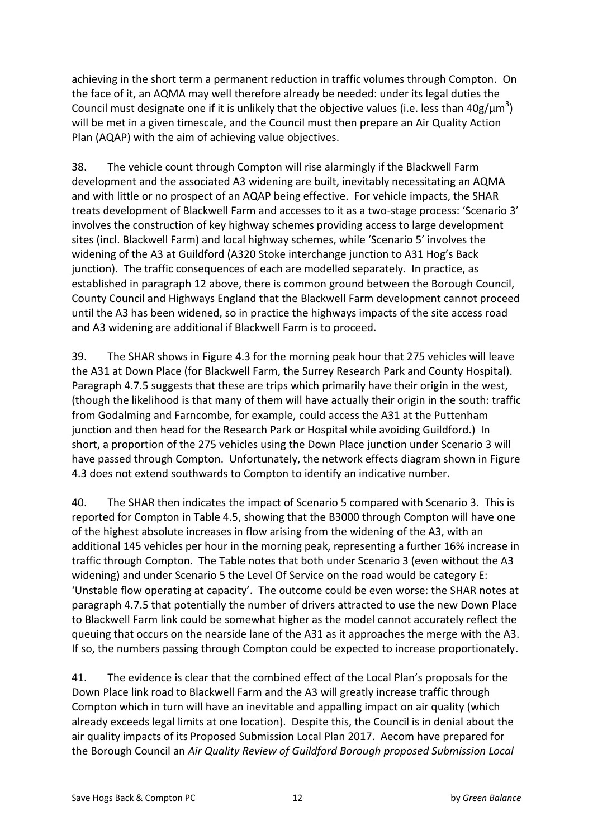achieving in the short term a permanent reduction in traffic volumes through Compton. On the face of it, an AQMA may well therefore already be needed: under its legal duties the Council must designate one if it is unlikely that the objective values (i.e. less than  $40g/\mu m^3$ ) will be met in a given timescale, and the Council must then prepare an Air Quality Action Plan (AQAP) with the aim of achieving value objectives.

38. The vehicle count through Compton will rise alarmingly if the Blackwell Farm development and the associated A3 widening are built, inevitably necessitating an AQMA and with little or no prospect of an AQAP being effective. For vehicle impacts, the SHAR treats development of Blackwell Farm and accesses to it as a two-stage process: 'Scenario 3' involves the construction of key highway schemes providing access to large development sites (incl. Blackwell Farm) and local highway schemes, while 'Scenario 5' involves the widening of the A3 at Guildford (A320 Stoke interchange junction to A31 Hog's Back junction). The traffic consequences of each are modelled separately. In practice, as established in paragraph 12 above, there is common ground between the Borough Council, County Council and Highways England that the Blackwell Farm development cannot proceed until the A3 has been widened, so in practice the highways impacts of the site access road and A3 widening are additional if Blackwell Farm is to proceed.

39. The SHAR shows in Figure 4.3 for the morning peak hour that 275 vehicles will leave the A31 at Down Place (for Blackwell Farm, the Surrey Research Park and County Hospital). Paragraph 4.7.5 suggests that these are trips which primarily have their origin in the west, (though the likelihood is that many of them will have actually their origin in the south: traffic from Godalming and Farncombe, for example, could access the A31 at the Puttenham junction and then head for the Research Park or Hospital while avoiding Guildford.) In short, a proportion of the 275 vehicles using the Down Place junction under Scenario 3 will have passed through Compton. Unfortunately, the network effects diagram shown in Figure 4.3 does not extend southwards to Compton to identify an indicative number.

40. The SHAR then indicates the impact of Scenario 5 compared with Scenario 3. This is reported for Compton in Table 4.5, showing that the B3000 through Compton will have one of the highest absolute increases in flow arising from the widening of the A3, with an additional 145 vehicles per hour in the morning peak, representing a further 16% increase in traffic through Compton. The Table notes that both under Scenario 3 (even without the A3 widening) and under Scenario 5 the Level Of Service on the road would be category E: 'Unstable flow operating at capacity'. The outcome could be even worse: the SHAR notes at paragraph 4.7.5 that potentially the number of drivers attracted to use the new Down Place to Blackwell Farm link could be somewhat higher as the model cannot accurately reflect the queuing that occurs on the nearside lane of the A31 as it approaches the merge with the A3. If so, the numbers passing through Compton could be expected to increase proportionately.

41. The evidence is clear that the combined effect of the Local Plan's proposals for the Down Place link road to Blackwell Farm and the A3 will greatly increase traffic through Compton which in turn will have an inevitable and appalling impact on air quality (which already exceeds legal limits at one location). Despite this, the Council is in denial about the air quality impacts of its Proposed Submission Local Plan 2017. Aecom have prepared for the Borough Council an Air Quality Review of Guildford Borough proposed Submission Local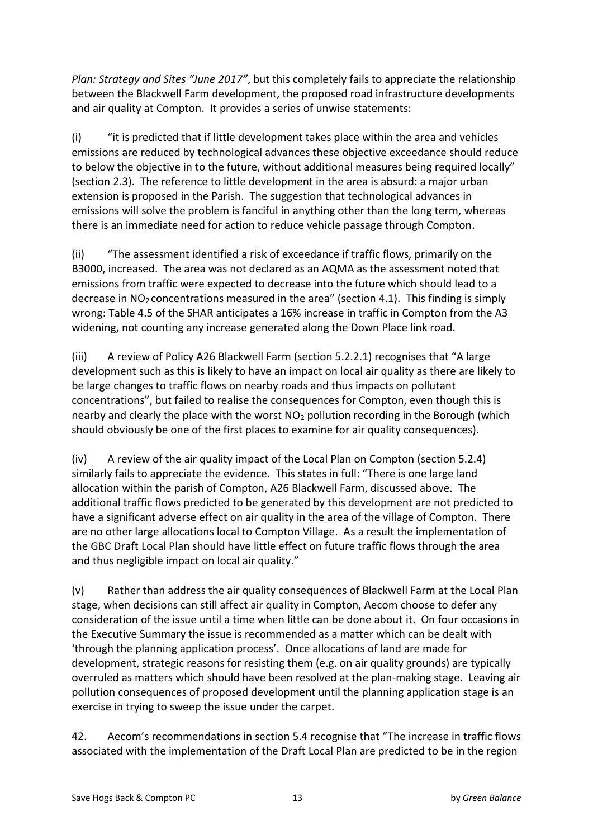*Plan: Strategy and Sites "June 2017"*, but this completely fails to appreciate the relationship between the Blackwell Farm development, the proposed road infrastructure developments and air quality at Compton. It provides a series of unwise statements:

(i) "it is predicted that if little development takes place within the area and vehicles emissions are reduced by technological advances these objective exceedance should reduce to below the objective in to the future, without additional measures being required locally" (section 2.3). The reference to little development in the area is absurd: a major urban extension is proposed in the Parish. The suggestion that technological advances in emissions will solve the problem is fanciful in anything other than the long term, whereas there is an immediate need for action to reduce vehicle passage through Compton.

(ii) "The assessment identified a risk of exceedance if traffic flows, primarily on the B3000, increased. The area was not declared as an AQMA as the assessment noted that emissions from traffic were expected to decrease into the future which should lead to a decrease in NO<sub>2</sub> concentrations measured in the area" (section 4.1). This finding is simply wrong: Table 4.5 of the SHAR anticipates a 16% increase in traffic in Compton from the A3 widening, not counting any increase generated along the Down Place link road.

(iii) A review of Policy A26 Blackwell Farm (section 5.2.2.1) recognises that "A large development such as this is likely to have an impact on local air quality as there are likely to be large changes to traffic flows on nearby roads and thus impacts on pollutant concentrations", but failed to realise the consequences for Compton, even though this is nearby and clearly the place with the worst  $NO<sub>2</sub>$  pollution recording in the Borough (which should obviously be one of the first places to examine for air quality consequences).

(iv) A review of the air quality impact of the Local Plan on Compton (section 5.2.4) similarly fails to appreciate the evidence. This states in full: "There is one large land allocation within the parish of Compton, A26 Blackwell Farm, discussed above. The additional traffic flows predicted to be generated by this development are not predicted to have a significant adverse effect on air quality in the area of the village of Compton. There are no other large allocations local to Compton Village. As a result the implementation of the GBC Draft Local Plan should have little effect on future traffic flows through the area and thus negligible impact on local air quality."

(v) Rather than address the air quality consequences of Blackwell Farm at the Local Plan stage, when decisions can still affect air quality in Compton, Aecom choose to defer any consideration of the issue until a time when little can be done about it. On four occasions in the Executive Summary the issue is recommended as a matter which can be dealt with 'through the planning application process'. Once allocations of land are made for development, strategic reasons for resisting them (e.g. on air quality grounds) are typically overruled as matters which should have been resolved at the plan-making stage. Leaving air pollution consequences of proposed development until the planning application stage is an exercise in trying to sweep the issue under the carpet.

42. Aecom's recommendations in section 5.4 recognise that "The increase in traffic flows associated with the implementation of the Draft Local Plan are predicted to be in the region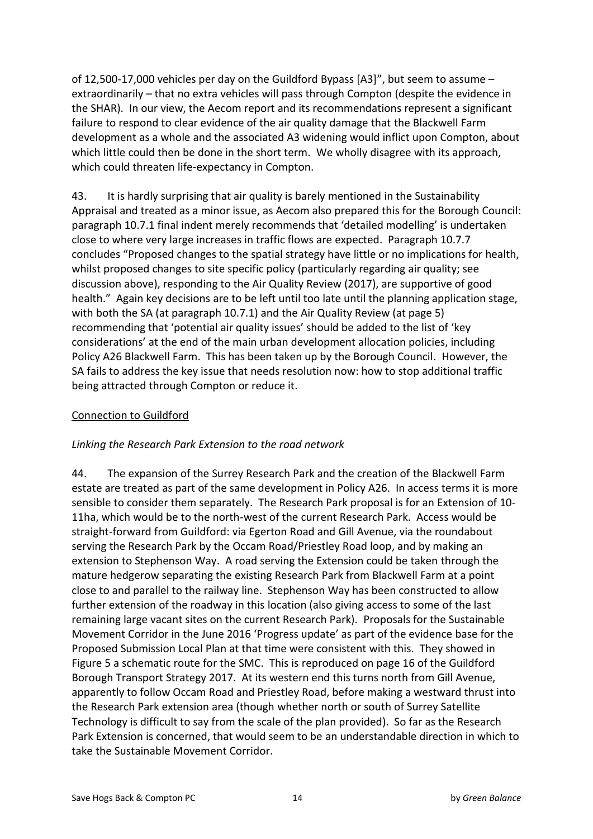of 12,500-17,000 vehicles per day on the Guildford Bypass [A3] $^{\prime\prime}$ , but seem to assume – extraordinarily – that no extra vehicles will pass through Compton (despite the evidence in the SHAR). In our view, the Aecom report and its recommendations represent a significant failure to respond to clear evidence of the air quality damage that the Blackwell Farm development as a whole and the associated A3 widening would inflict upon Compton, about which little could then be done in the short term. We wholly disagree with its approach, which could threaten life-expectancy in Compton.

43. It is hardly surprising that air quality is barely mentioned in the Sustainability Appraisal and treated as a minor issue, as Aecom also prepared this for the Borough Council: paragraph 10.7.1 final indent merely recommends that 'detailed modelling' is undertaken close to where very large increases in traffic flows are expected. Paragraph 10.7.7 concludes "Proposed changes to the spatial strategy have little or no implications for health, whilst proposed changes to site specific policy (particularly regarding air quality; see discussion above), responding to the Air Quality Review (2017), are supportive of good health." Again key decisions are to be left until too late until the planning application stage, with both the SA (at paragraph 10.7.1) and the Air Quality Review (at page 5) recommending that 'potential air quality issues' should be added to the list of 'key considerations' at the end of the main urban development allocation policies, including Policy A26 Blackwell Farm. This has been taken up by the Borough Council. However, the SA fails to address the key issue that needs resolution now: how to stop additional traffic being attracted through Compton or reduce it.

#### Connection to Guildford

#### Linking the Research Park Extension to the road network

44. The expansion of the Surrey Research Park and the creation of the Blackwell Farm estate are treated as part of the same development in Policy A26. In access terms it is more sensible to consider them separately. The Research Park proposal is for an Extension of 10-11ha, which would be to the north-west of the current Research Park. Access would be straight-forward from Guildford: via Egerton Road and Gill Avenue, via the roundabout serving the Research Park by the Occam Road/Priestley Road loop, and by making an extension to Stephenson Way. A road serving the Extension could be taken through the mature hedgerow separating the existing Research Park from Blackwell Farm at a point close to and parallel to the railway line. Stephenson Way has been constructed to allow further extension of the roadway in this location (also giving access to some of the last remaining large vacant sites on the current Research Park). Proposals for the Sustainable Movement Corridor in the June 2016 'Progress update' as part of the evidence base for the Proposed Submission Local Plan at that time were consistent with this. They showed in Figure 5 a schematic route for the SMC. This is reproduced on page 16 of the Guildford Borough Transport Strategy 2017. At its western end this turns north from Gill Avenue, apparently to follow Occam Road and Priestley Road, before making a westward thrust into the Research Park extension area (though whether north or south of Surrey Satellite Technology is difficult to say from the scale of the plan provided). So far as the Research Park Extension is concerned, that would seem to be an understandable direction in which to take the Sustainable Movement Corridor.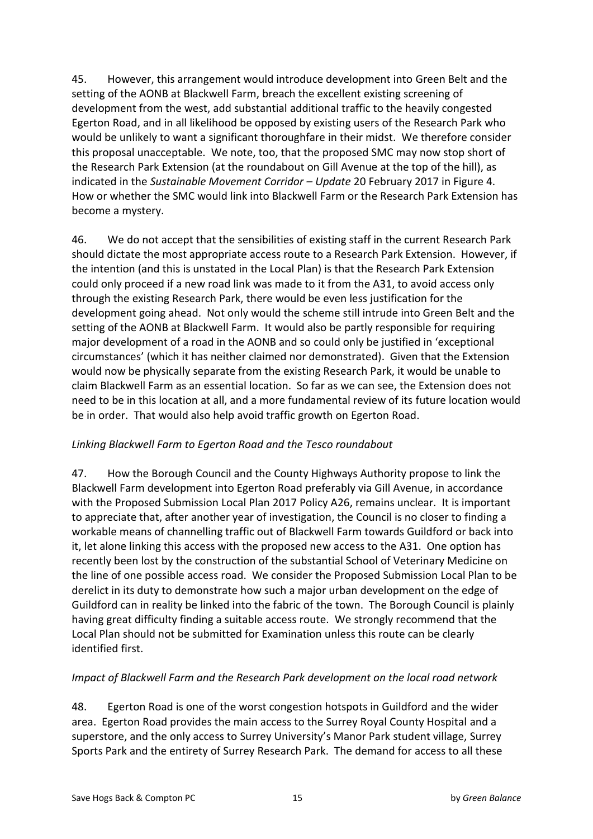45. However, this arrangement would introduce development into Green Belt and the setting of the AONB at Blackwell Farm, breach the excellent existing screening of development from the west, add substantial additional traffic to the heavily congested Egerton Road, and in all likelihood be opposed by existing users of the Research Park who would be unlikely to want a significant thoroughfare in their midst. We therefore consider this proposal unacceptable. We note, too, that the proposed SMC may now stop short of the Research Park Extension (at the roundabout on Gill Avenue at the top of the hill), as indicated in the *Sustainable Movement Corridor – Update* 20 February 2017 in Figure 4. How or whether the SMC would link into Blackwell Farm or the Research Park Extension has become a mystery.

46. We do not accept that the sensibilities of existing staff in the current Research Park should dictate the most appropriate access route to a Research Park Extension. However, if the intention (and this is unstated in the Local Plan) is that the Research Park Extension could only proceed if a new road link was made to it from the A31, to avoid access only through the existing Research Park, there would be even less justification for the development going ahead. Not only would the scheme still intrude into Green Belt and the setting of the AONB at Blackwell Farm. It would also be partly responsible for requiring major development of a road in the AONB and so could only be justified in 'exceptional circumstances' (which it has neither claimed nor demonstrated). Given that the Extension would now be physically separate from the existing Research Park, it would be unable to claim Blackwell Farm as an essential location. So far as we can see, the Extension does not need to be in this location at all, and a more fundamental review of its future location would be in order. That would also help avoid traffic growth on Egerton Road.

### *Linking%Blackwell%Farm%to%Egerton%Road%and%the%Tesco%roundabout*

47. How the Borough Council and the County Highways Authority propose to link the Blackwell Farm development into Egerton Road preferably via Gill Avenue, in accordance with the Proposed Submission Local Plan 2017 Policy A26, remains unclear. It is important to appreciate that, after another year of investigation, the Council is no closer to finding a workable means of channelling traffic out of Blackwell Farm towards Guildford or back into it, let alone linking this access with the proposed new access to the A31. One option has recently been lost by the construction of the substantial School of Veterinary Medicine on the line of one possible access road. We consider the Proposed Submission Local Plan to be derelict in its duty to demonstrate how such a major urban development on the edge of Guildford can in reality be linked into the fabric of the town. The Borough Council is plainly having great difficulty finding a suitable access route. We strongly recommend that the Local Plan should not be submitted for Examination unless this route can be clearly identified first.

# *Impact of Blackwell Farm and the Research Park development on the local road network*

48. Egerton Road is one of the worst congestion hotspots in Guildford and the wider area. Egerton Road provides the main access to the Surrey Royal County Hospital and a superstore, and the only access to Surrey University's Manor Park student village, Surrey Sports Park and the entirety of Surrey Research Park. The demand for access to all these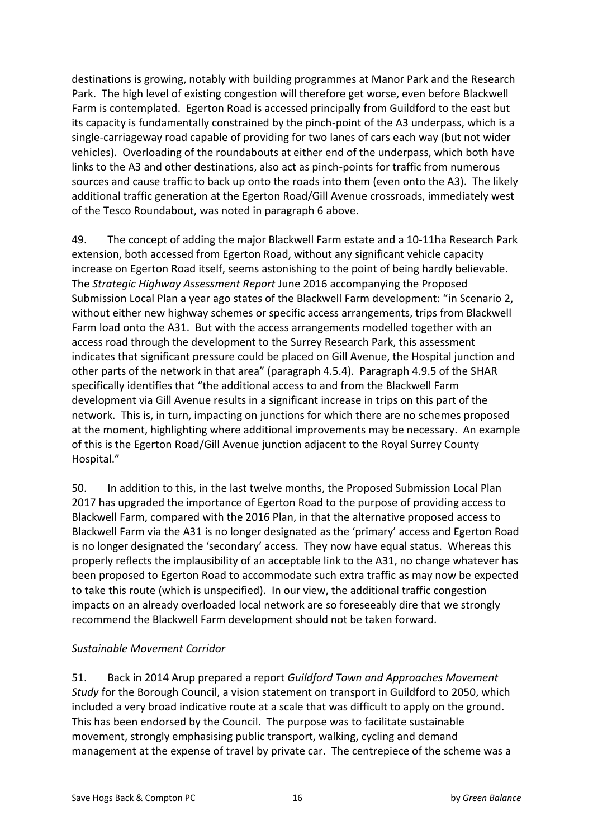destinations is growing, notably with building programmes at Manor Park and the Research Park. The high level of existing congestion will therefore get worse, even before Blackwell Farm is contemplated. Egerton Road is accessed principally from Guildford to the east but its capacity is fundamentally constrained by the pinch-point of the A3 underpass, which is a single-carriageway road capable of providing for two lanes of cars each way (but not wider vehicles). Overloading of the roundabouts at either end of the underpass, which both have links to the A3 and other destinations, also act as pinch-points for traffic from numerous sources and cause traffic to back up onto the roads into them (even onto the A3). The likely additional traffic generation at the Egerton Road/Gill Avenue crossroads, immediately west of the Tesco Roundabout, was noted in paragraph 6 above.

49. The concept of adding the major Blackwell Farm estate and a 10-11ha Research Park extension, both accessed from Egerton Road, without any significant vehicle capacity increase on Egerton Road itself, seems astonishing to the point of being hardly believable. The *Strategic Highway Assessment Report* June 2016 accompanying the Proposed Submission Local Plan a year ago states of the Blackwell Farm development: "in Scenario 2, without either new highway schemes or specific access arrangements, trips from Blackwell Farm load onto the A31. But with the access arrangements modelled together with an access road through the development to the Surrey Research Park, this assessment indicates that significant pressure could be placed on Gill Avenue, the Hospital junction and other parts of the network in that area" (paragraph 4.5.4). Paragraph 4.9.5 of the SHAR specifically identifies that "the additional access to and from the Blackwell Farm development via Gill Avenue results in a significant increase in trips on this part of the network. This is, in turn, impacting on junctions for which there are no schemes proposed at the moment, highlighting where additional improvements may be necessary. An example of this is the Egerton Road/Gill Avenue junction adjacent to the Royal Surrey County Hospital."

50. In addition to this, in the last twelve months, the Proposed Submission Local Plan 2017 has upgraded the importance of Egerton Road to the purpose of providing access to Blackwell Farm, compared with the 2016 Plan, in that the alternative proposed access to Blackwell Farm via the A31 is no longer designated as the 'primary' access and Egerton Road is no longer designated the 'secondary' access. They now have equal status. Whereas this properly reflects the implausibility of an acceptable link to the A31, no change whatever has been proposed to Egerton Road to accommodate such extra traffic as may now be expected to take this route (which is unspecified). In our view, the additional traffic congestion impacts on an already overloaded local network are so foreseeably dire that we strongly recommend the Blackwell Farm development should not be taken forward.

### *Sustainable%Movement%Corridor*

51. Back in 2014 Arup prepared a report *Guildford Town and Approaches Movement Study* for the Borough Council, a vision statement on transport in Guildford to 2050, which included a very broad indicative route at a scale that was difficult to apply on the ground. This has been endorsed by the Council. The purpose was to facilitate sustainable movement, strongly emphasising public transport, walking, cycling and demand management at the expense of travel by private car. The centrepiece of the scheme was a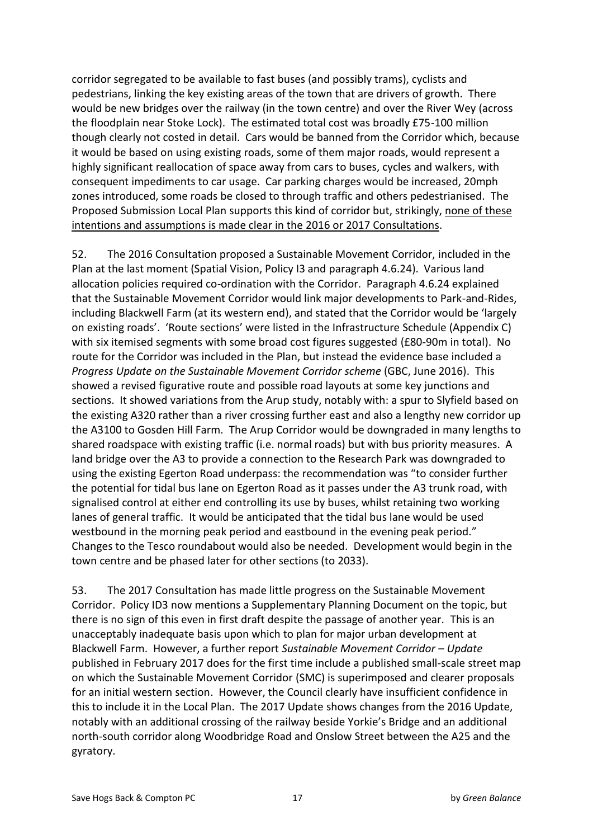corridor segregated to be available to fast buses (and possibly trams), cyclists and pedestrians, linking the key existing areas of the town that are drivers of growth. There would be new bridges over the railway (in the town centre) and over the River Wey (across the floodplain near Stoke Lock). The estimated total cost was broadly £75-100 million though clearly not costed in detail. Cars would be banned from the Corridor which, because it would be based on using existing roads, some of them major roads, would represent a highly significant reallocation of space away from cars to buses, cycles and walkers, with consequent impediments to car usage. Car parking charges would be increased, 20mph zones introduced, some roads be closed to through traffic and others pedestrianised. The Proposed Submission Local Plan supports this kind of corridor but, strikingly, none of these intentions and assumptions is made clear in the 2016 or 2017 Consultations.

52. The 2016 Consultation proposed a Sustainable Movement Corridor, included in the Plan at the last moment (Spatial Vision, Policy I3 and paragraph 4.6.24). Various land allocation policies required co-ordination with the Corridor. Paragraph 4.6.24 explained that the Sustainable Movement Corridor would link major developments to Park-and-Rides, including Blackwell Farm (at its western end), and stated that the Corridor would be 'largely on existing roads'. 'Route sections' were listed in the Infrastructure Schedule (Appendix C) with six itemised segments with some broad cost figures suggested (£80-90m in total). No route for the Corridor was included in the Plan, but instead the evidence base included a *Progress Update on the Sustainable Movement Corridor scheme* (GBC, June 2016). This showed a revised figurative route and possible road layouts at some key junctions and sections. It showed variations from the Arup study, notably with: a spur to Slyfield based on the existing A320 rather than a river crossing further east and also a lengthy new corridor up the A3100 to Gosden Hill Farm. The Arup Corridor would be downgraded in many lengths to shared roadspace with existing traffic (i.e. normal roads) but with bus priority measures. A land bridge over the A3 to provide a connection to the Research Park was downgraded to using the existing Egerton Road underpass: the recommendation was "to consider further the potential for tidal bus lane on Egerton Road as it passes under the A3 trunk road, with signalised control at either end controlling its use by buses, whilst retaining two working lanes of general traffic. It would be anticipated that the tidal bus lane would be used westbound in the morning peak period and eastbound in the evening peak period.<sup>"</sup> Changes to the Tesco roundabout would also be needed. Development would begin in the town centre and be phased later for other sections (to 2033).

53. The 2017 Consultation has made little progress on the Sustainable Movement Corridor. Policy ID3 now mentions a Supplementary Planning Document on the topic, but there is no sign of this even in first draft despite the passage of another year. This is an unacceptably inadequate basis upon which to plan for major urban development at Blackwell%Farm.%%However,%a%further%report%*Sustainable%Movement%Corridor%ʹ Update* published in February 2017 does for the first time include a published small-scale street map on which the Sustainable Movement Corridor (SMC) is superimposed and clearer proposals for an initial western section. However, the Council clearly have insufficient confidence in this to include it in the Local Plan. The 2017 Update shows changes from the 2016 Update, notably with an additional crossing of the railway beside Yorkie's Bridge and an additional north-south corridor along Woodbridge Road and Onslow Street between the A25 and the gyratory.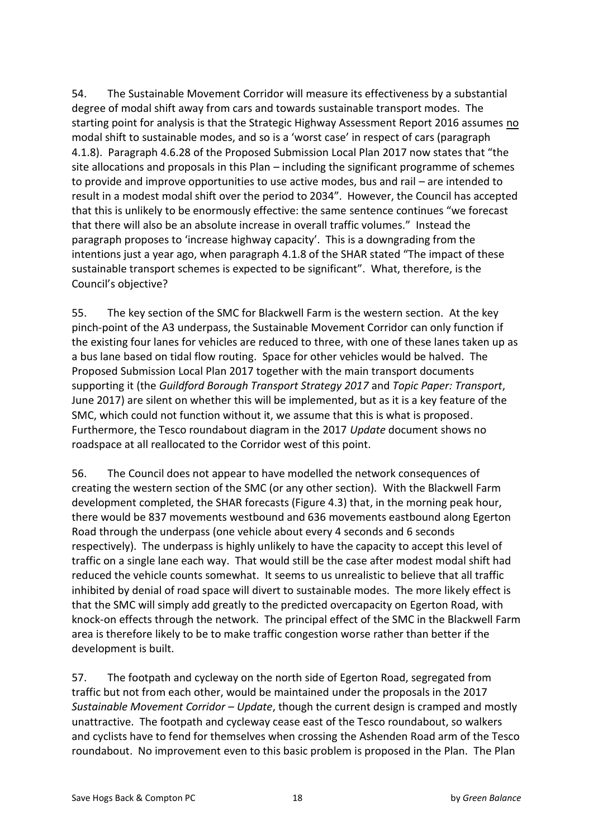54. The Sustainable Movement Corridor will measure its effectiveness by a substantial degree of modal shift away from cars and towards sustainable transport modes. The starting point for analysis is that the Strategic Highway Assessment Report 2016 assumes no modal shift to sustainable modes, and so is a 'worst case' in respect of cars (paragraph 4.1.8). Paragraph 4.6.28 of the Proposed Submission Local Plan 2017 now states that "the site allocations and proposals in this Plan  $-$  including the significant programme of schemes to provide and improve opportunities to use active modes, bus and rail – are intended to result in a modest modal shift over the period to 2034". However, the Council has accepted that this is unlikely to be enormously effective: the same sentence continues "we forecast that there will also be an absolute increase in overall traffic volumes." Instead the paragraph proposes to 'increase highway capacity'. This is a downgrading from the intentions just a year ago, when paragraph 4.1.8 of the SHAR stated "The impact of these sustainable transport schemes is expected to be significant". What, therefore, is the Council's objective?

55. The key section of the SMC for Blackwell Farm is the western section. At the key pinch-point of the A3 underpass, the Sustainable Movement Corridor can only function if the existing four lanes for vehicles are reduced to three, with one of these lanes taken up as a bus lane based on tidal flow routing. Space for other vehicles would be halved. The Proposed Submission Local Plan 2017 together with the main transport documents supporting it (the *Guildford Borough Transport Strategy 2017* and *Topic Paper: Transport*, June 2017) are silent on whether this will be implemented, but as it is a key feature of the SMC, which could not function without it, we assume that this is what is proposed. Furthermore, the Tesco roundabout diagram in the 2017 *Update* document shows no roadspace at all reallocated to the Corridor west of this point.

56. The Council does not appear to have modelled the network consequences of creating the western section of the SMC (or any other section). With the Blackwell Farm development completed, the SHAR forecasts (Figure 4.3) that, in the morning peak hour, there would be 837 movements westbound and 636 movements eastbound along Egerton Road through the underpass (one vehicle about every 4 seconds and 6 seconds respectively). The underpass is highly unlikely to have the capacity to accept this level of traffic on a single lane each way. That would still be the case after modest modal shift had reduced the vehicle counts somewhat. It seems to us unrealistic to believe that all traffic inhibited by denial of road space will divert to sustainable modes. The more likely effect is that the SMC will simply add greatly to the predicted overcapacity on Egerton Road, with knock-on effects through the network. The principal effect of the SMC in the Blackwell Farm area is therefore likely to be to make traffic congestion worse rather than better if the development is built.

57. The footpath and cycleway on the north side of Egerton Road, segregated from traffic but not from each other, would be maintained under the proposals in the 2017 *Sustainable Movement Corridor – Update*, though the current design is cramped and mostly unattractive. The footpath and cycleway cease east of the Tesco roundabout, so walkers and cyclists have to fend for themselves when crossing the Ashenden Road arm of the Tesco roundabout. No improvement even to this basic problem is proposed in the Plan. The Plan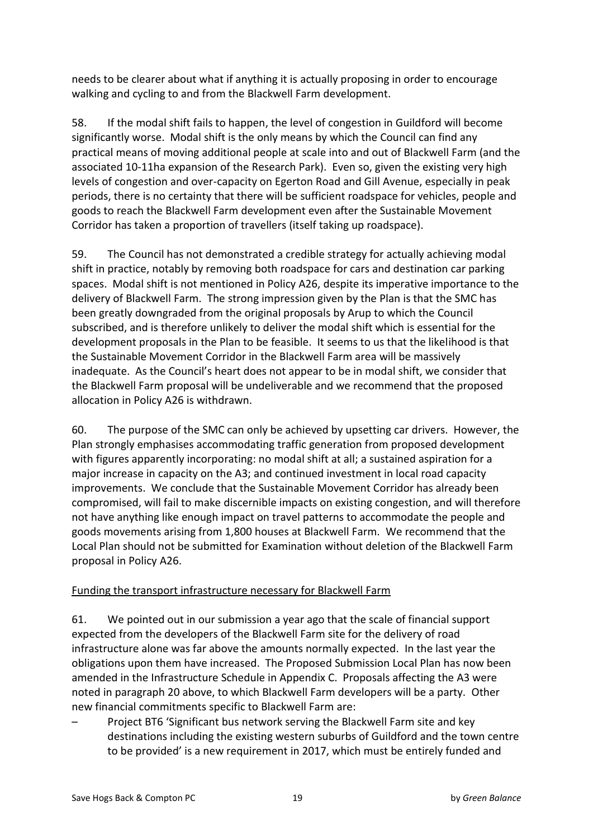needs to be clearer about what if anything it is actually proposing in order to encourage walking and cycling to and from the Blackwell Farm development.

58. If the modal shift fails to happen, the level of congestion in Guildford will become significantly worse. Modal shift is the only means by which the Council can find any practical means of moving additional people at scale into and out of Blackwell Farm (and the associated 10-11ha expansion of the Research Park). Even so, given the existing very high levels of congestion and over-capacity on Egerton Road and Gill Avenue, especially in peak periods, there is no certainty that there will be sufficient roadspace for vehicles, people and goods to reach the Blackwell Farm development even after the Sustainable Movement Corridor has taken a proportion of travellers (itself taking up roadspace).

59. The Council has not demonstrated a credible strategy for actually achieving modal shift in practice, notably by removing both roadspace for cars and destination car parking spaces. Modal shift is not mentioned in Policy A26, despite its imperative importance to the delivery of Blackwell Farm. The strong impression given by the Plan is that the SMC has been greatly downgraded from the original proposals by Arup to which the Council subscribed, and is therefore unlikely to deliver the modal shift which is essential for the development proposals in the Plan to be feasible. It seems to us that the likelihood is that the Sustainable Movement Corridor in the Blackwell Farm area will be massively inadequate. As the Council's heart does not appear to be in modal shift, we consider that the Blackwell Farm proposal will be undeliverable and we recommend that the proposed allocation in Policy A26 is withdrawn.

60. The purpose of the SMC can only be achieved by upsetting car drivers. However, the Plan strongly emphasises accommodating traffic generation from proposed development with figures apparently incorporating: no modal shift at all; a sustained aspiration for a major increase in capacity on the A3; and continued investment in local road capacity improvements. We conclude that the Sustainable Movement Corridor has already been compromised, will fail to make discernible impacts on existing congestion, and will therefore not have anything like enough impact on travel patterns to accommodate the people and goods movements arising from 1,800 houses at Blackwell Farm. We recommend that the Local Plan should not be submitted for Examination without deletion of the Blackwell Farm proposal in Policy A26.

### Funding the transport infrastructure necessary for Blackwell Farm

61. We pointed out in our submission a year ago that the scale of financial support expected from the developers of the Blackwell Farm site for the delivery of road infrastructure alone was far above the amounts normally expected. In the last year the obligations upon them have increased. The Proposed Submission Local Plan has now been amended in the Infrastructure Schedule in Appendix C. Proposals affecting the A3 were noted in paragraph 20 above, to which Blackwell Farm developers will be a party. Other new financial commitments specific to Blackwell Farm are:

Project BT6 'Significant bus network serving the Blackwell Farm site and key destinations including the existing western suburbs of Guildford and the town centre to be provided' is a new requirement in 2017, which must be entirely funded and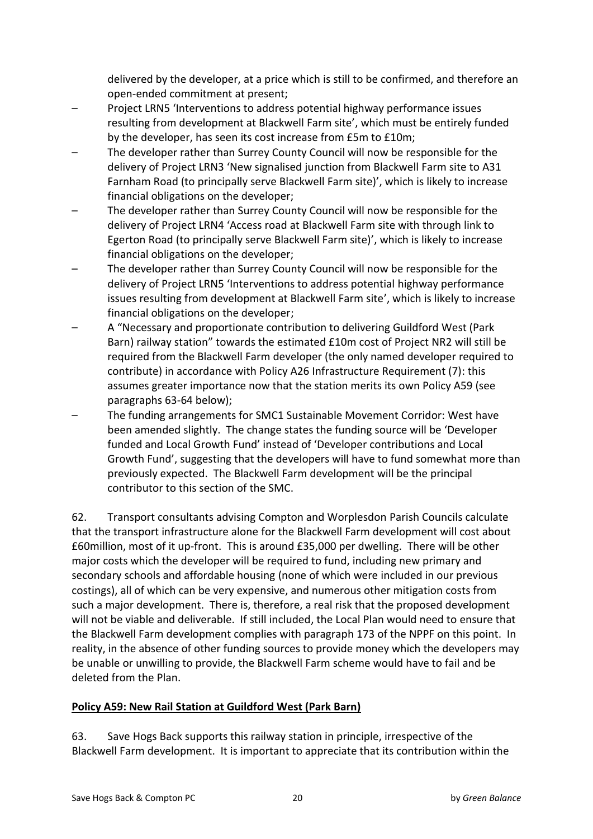delivered by the developer, at a price which is still to be confirmed, and therefore an open-ended commitment at present;

- Project LRN5 'Interventions to address potential highway performance issues resulting from development at Blackwell Farm site', which must be entirely funded by the developer, has seen its cost increase from £5m to £10m;
- The developer rather than Surrey County Council will now be responsible for the delivery of Project LRN3 'New signalised junction from Blackwell Farm site to A31 Farnham Road (to principally serve Blackwell Farm site)', which is likely to increase financial obligations on the developer;
- The developer rather than Surrey County Council will now be responsible for the delivery of Project LRN4 'Access road at Blackwell Farm site with through link to Egerton Road (to principally serve Blackwell Farm site)', which is likely to increase financial obligations on the developer;
- The developer rather than Surrey County Council will now be responsible for the delivery of Project LRN5 'Interventions to address potential highway performance issues resulting from development at Blackwell Farm site', which is likely to increase financial obligations on the developer;
- A "Necessary and proportionate contribution to delivering Guildford West (Park Barn) railway station" towards the estimated £10m cost of Project NR2 will still be required from the Blackwell Farm developer (the only named developer required to contribute) in accordance with Policy A26 Infrastructure Requirement (7): this assumes greater importance now that the station merits its own Policy A59 (see paragraphs 63-64 below);
- The funding arrangements for SMC1 Sustainable Movement Corridor: West have been amended slightly. The change states the funding source will be 'Developer funded and Local Growth Fund' instead of 'Developer contributions and Local Growth Fund', suggesting that the developers will have to fund somewhat more than previously expected. The Blackwell Farm development will be the principal contributor to this section of the SMC.

62. Transport consultants advising Compton and Worplesdon Parish Councils calculate that the transport infrastructure alone for the Blackwell Farm development will cost about £60million, most of it up-front. This is around £35,000 per dwelling. There will be other major costs which the developer will be required to fund, including new primary and secondary schools and affordable housing (none of which were included in our previous costings), all of which can be very expensive, and numerous other mitigation costs from such a major development. There is, therefore, a real risk that the proposed development will not be viable and deliverable. If still included, the Local Plan would need to ensure that the Blackwell Farm development complies with paragraph 173 of the NPPF on this point. In reality, in the absence of other funding sources to provide money which the developers may be unable or unwilling to provide, the Blackwell Farm scheme would have to fail and be deleted from the Plan.

# **Policy A59: New Rail Station at Guildford West (Park Barn)**

63. Save Hogs Back supports this railway station in principle, irrespective of the Blackwell Farm development. It is important to appreciate that its contribution within the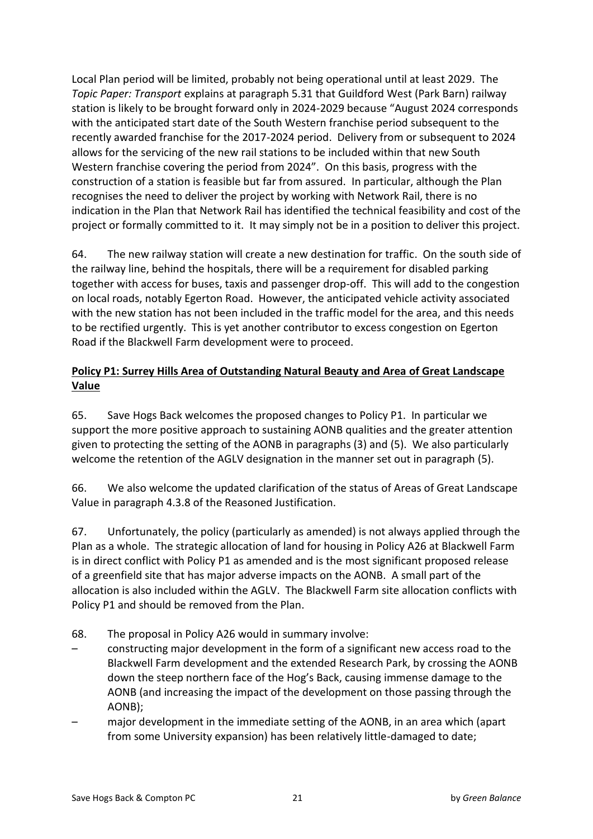Local Plan period will be limited, probably not being operational until at least 2029. The *Topic Paper: Transport* explains at paragraph 5.31 that Guildford West (Park Barn) railway station is likely to be brought forward only in 2024-2029 because "August 2024 corresponds" with the anticipated start date of the South Western franchise period subsequent to the recently awarded franchise for the 2017-2024 period. Delivery from or subsequent to 2024 allows for the servicing of the new rail stations to be included within that new South Western franchise covering the period from 2024". On this basis, progress with the construction of a station is feasible but far from assured. In particular, although the Plan recognises the need to deliver the project by working with Network Rail, there is no indication in the Plan that Network Rail has identified the technical feasibility and cost of the project or formally committed to it. It may simply not be in a position to deliver this project.

64. The new railway station will create a new destination for traffic. On the south side of the railway line, behind the hospitals, there will be a requirement for disabled parking together with access for buses, taxis and passenger drop-off. This will add to the congestion on local roads, notably Egerton Road. However, the anticipated vehicle activity associated with the new station has not been included in the traffic model for the area, and this needs to be rectified urgently. This is yet another contributor to excess congestion on Egerton Road if the Blackwell Farm development were to proceed.

# Policy P1: Surrey Hills Area of Outstanding Natural Beauty and Area of Great Landscape **Value**

65. Save Hogs Back welcomes the proposed changes to Policy P1. In particular we support the more positive approach to sustaining AONB qualities and the greater attention given to protecting the setting of the AONB in paragraphs  $(3)$  and  $(5)$ . We also particularly welcome the retention of the AGLV designation in the manner set out in paragraph (5).

66. We also welcome the updated clarification of the status of Areas of Great Landscape Value in paragraph 4.3.8 of the Reasoned Justification.

67. Unfortunately, the policy (particularly as amended) is not always applied through the Plan as a whole. The strategic allocation of land for housing in Policy A26 at Blackwell Farm is in direct conflict with Policy P1 as amended and is the most significant proposed release of a greenfield site that has major adverse impacts on the AONB. A small part of the allocation is also included within the AGLV. The Blackwell Farm site allocation conflicts with Policy P1 and should be removed from the Plan.

- 68. The proposal in Policy A26 would in summary involve:
- constructing major development in the form of a significant new access road to the Blackwell Farm development and the extended Research Park, by crossing the AONB down the steep northern face of the Hog's Back, causing immense damage to the AONB (and increasing the impact of the development on those passing through the AONB);
- major development in the immediate setting of the AONB, in an area which (apart from some University expansion) has been relatively little-damaged to date;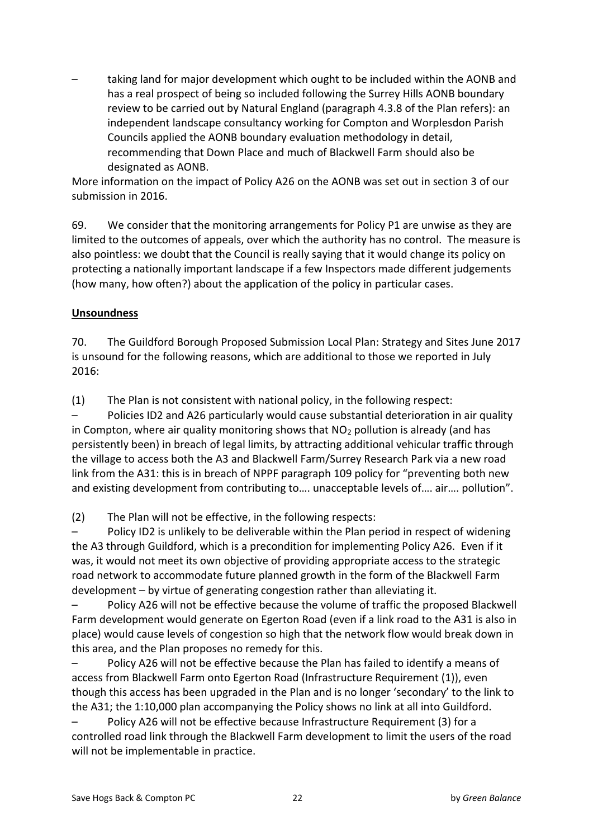taking land for major development which ought to be included within the AONB and has a real prospect of being so included following the Surrey Hills AONB boundary review to be carried out by Natural England (paragraph 4.3.8 of the Plan refers): an independent landscape consultancy working for Compton and Worplesdon Parish Councils applied the AONB boundary evaluation methodology in detail, recommending that Down Place and much of Blackwell Farm should also be designated as AONB.

More information on the impact of Policy A26 on the AONB was set out in section 3 of our submission in 2016.

69. We consider that the monitoring arrangements for Policy P1 are unwise as they are limited to the outcomes of appeals, over which the authority has no control. The measure is also pointless: we doubt that the Council is really saying that it would change its policy on protecting a nationally important landscape if a few Inspectors made different judgements (how many, how often?) about the application of the policy in particular cases.

### **Unsoundness**

70. The Guildford Borough Proposed Submission Local Plan: Strategy and Sites June 2017 is unsound for the following reasons, which are additional to those we reported in July 2016:

 $(1)$  The Plan is not consistent with national policy, in the following respect:

Policies ID2 and A26 particularly would cause substantial deterioration in air quality in Compton, where air quality monitoring shows that  $NO<sub>2</sub>$  pollution is already (and has persistently been) in breach of legal limits, by attracting additional vehicular traffic through the village to access both the A3 and Blackwell Farm/Surrey Research Park via a new road link from the A31: this is in breach of NPPF paragraph 109 policy for "preventing both new and existing development from contributing to .... unacceptable levels of .... air .... pollution".

 $(2)$  The Plan will not be effective, in the following respects:

Policy ID2 is unlikely to be deliverable within the Plan period in respect of widening the A3 through Guildford, which is a precondition for implementing Policy A26. Even if it was, it would not meet its own objective of providing appropriate access to the strategic road network to accommodate future planned growth in the form of the Blackwell Farm development – by virtue of generating congestion rather than alleviating it.

Policy A26 will not be effective because the volume of traffic the proposed Blackwell Farm development would generate on Egerton Road (even if a link road to the A31 is also in place) would cause levels of congestion so high that the network flow would break down in this area, and the Plan proposes no remedy for this.

Policy A26 will not be effective because the Plan has failed to identify a means of access from Blackwell Farm onto Egerton Road (Infrastructure Requirement (1)), even though this access has been upgraded in the Plan and is no longer 'secondary' to the link to the A31; the 1:10,000 plan accompanying the Policy shows no link at all into Guildford.

Policy A26 will not be effective because Infrastructure Requirement (3) for a controlled road link through the Blackwell Farm development to limit the users of the road will not be implementable in practice.